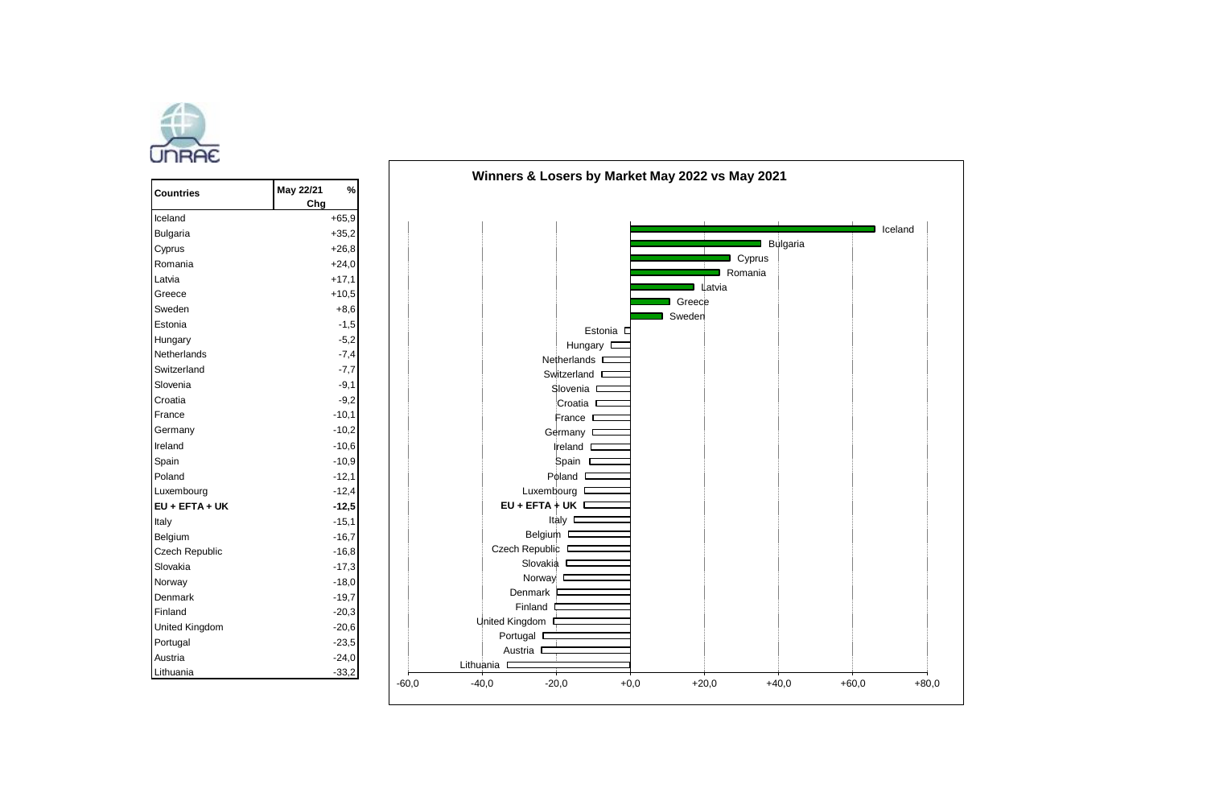

| Countries      | May 22/21<br>Chg | %       |        |       |
|----------------|------------------|---------|--------|-------|
| Iceland        |                  | $+65,9$ |        |       |
| Bulgaria       |                  | $+35,2$ |        |       |
| Cyprus         |                  | $+26.8$ |        |       |
| Romania        |                  | $+24.0$ |        |       |
| Latvia         |                  | $+17.1$ |        |       |
| Greece         |                  | $+10.5$ |        |       |
| Sweden         |                  | $+8.6$  |        |       |
| Estonia        |                  | $-1.5$  |        |       |
| Hungary        |                  | $-5,2$  |        |       |
| Netherlands    |                  | $-7.4$  |        |       |
| Switzerland    |                  | $-7,7$  |        |       |
| Slovenia       |                  | $-9.1$  |        |       |
| Croatia        |                  | $-9.2$  |        |       |
| France         |                  | $-10.1$ |        |       |
| Germany        |                  | $-10.2$ |        |       |
| Ireland        |                  | $-10.6$ |        |       |
| Spain          |                  | $-10,9$ |        |       |
| Poland         |                  | $-12.1$ |        |       |
| Luxembourg     |                  | $-12.4$ |        |       |
| EU + EFTA + UK |                  | $-12,5$ |        |       |
| Italy          |                  | $-15.1$ |        |       |
| Belgium        |                  | $-16,7$ |        |       |
| Czech Republic |                  | $-16.8$ |        |       |
| Slovakia       |                  | $-17.3$ |        |       |
| Norway         |                  | $-18,0$ |        |       |
| Denmark        |                  | $-19,7$ |        |       |
| Finland        |                  | $-20,3$ |        |       |
| United Kingdom |                  | $-20.6$ |        |       |
| Portugal       |                  | $-23,5$ |        |       |
| Austria        |                  | $-24,0$ |        | Lithu |
| Lithuania      |                  | $-33,2$ | $-600$ |       |

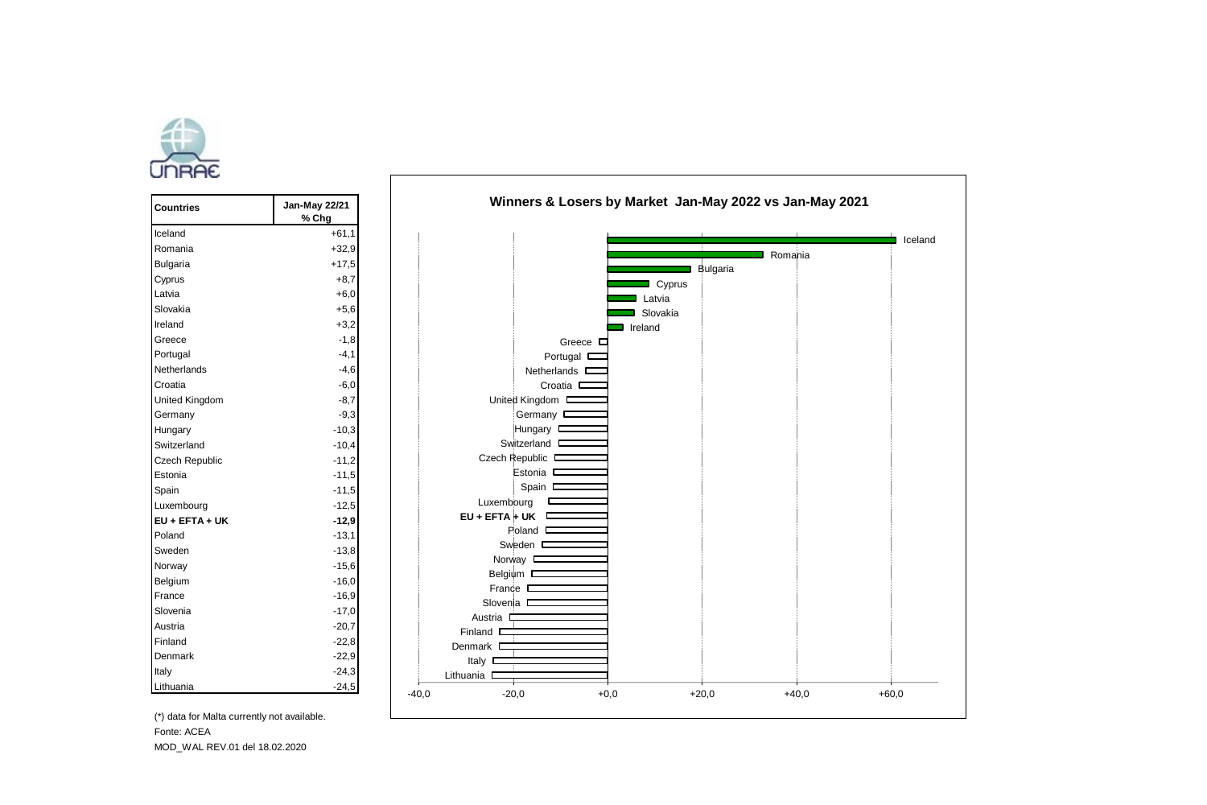

| Countries      | Jan-May 22/21<br>% Chg |  |
|----------------|------------------------|--|
| Iceland        | $+61.1$                |  |
| Romania        | $+32.9$                |  |
| Bulgaria       | $+17.5$                |  |
| Cyprus         | $+8.7$                 |  |
| Latvia         | $+6.0$                 |  |
| Slovakia       | $+5,6$                 |  |
| Ireland        | $+3.2$                 |  |
| Greece         | $-1,8$                 |  |
| Portugal       | $-4.1$                 |  |
| Netherlands    | $-4.6$                 |  |
| Croatia        | $-6,0$                 |  |
| United Kingdom | $-8.7$                 |  |
| Germany        | $-9.3$                 |  |
| Hungary        | $-10.3$                |  |
| Switzerland    | $-10.4$                |  |
| Czech Republic | $-11,2$                |  |
| Estonia        | $-11.5$                |  |
| Spain          | $-11.5$                |  |
| Luxembourg     | $-12.5$                |  |
| EU + EFTA + UK | $-12,9$                |  |
| Poland         | $-13.1$                |  |
| Sweden         | $-13.8$                |  |
| Norway         | $-15.6$                |  |
| Belgium        | $-16.0$                |  |
| France         | $-16.9$                |  |
| Slovenia       | $-17.0$                |  |
| Austria        | $-20.7$                |  |
| Finland        | $-22.8$                |  |
| Denmark        | $-22.9$                |  |
| Italy          | $-24,3$                |  |
| Lithuania      | $-24,5$                |  |



(\*) data for Malta currently not available. Fonte: ACEA MOD\_WAL REV.01 del 18.02.2020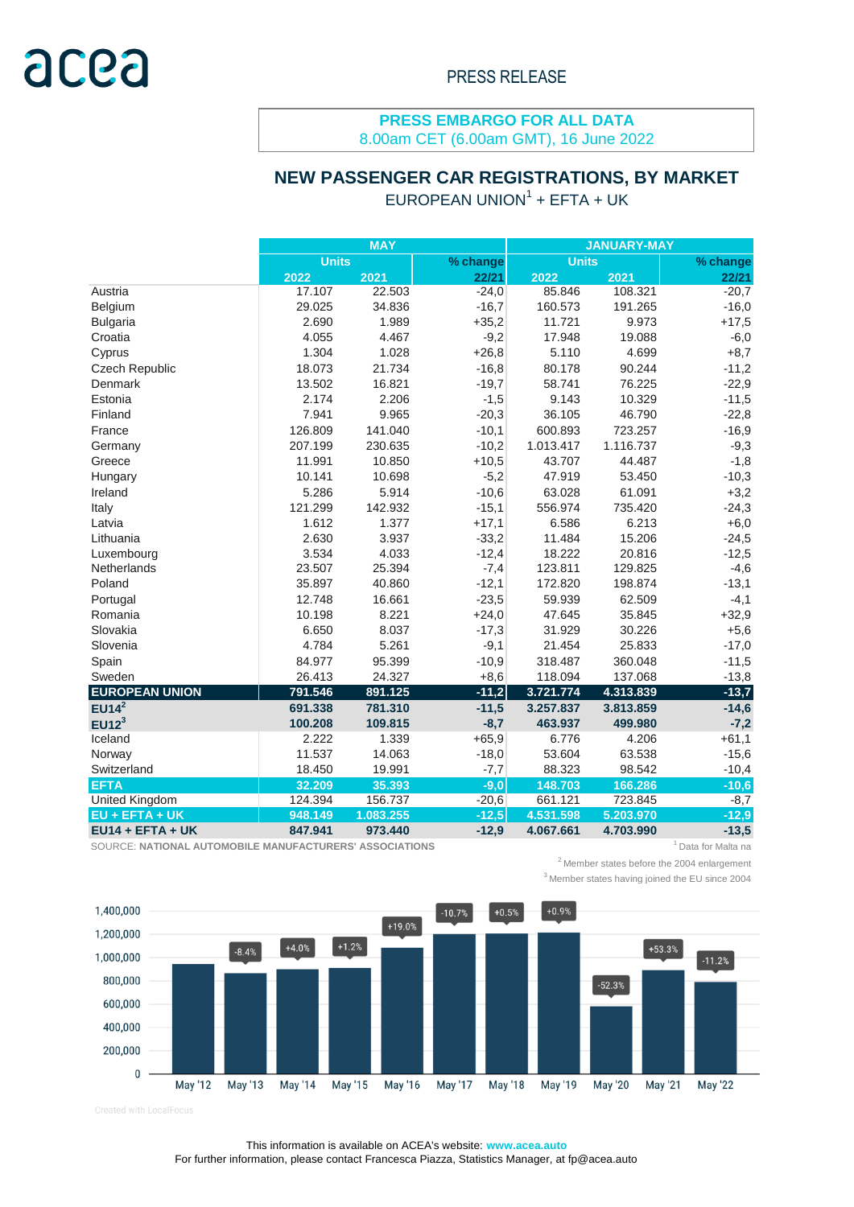## **PRESS EMBARGO FOR ALL DATA**

8.00am CET (6.00am GMT), 16 June 2022

# **NEW PASSENGER CAR REGISTRATIONS, BY MARKET**

 $EUROPEAN UNION<sup>1</sup> + EFTA + UK$ 

|                       |              | <b>MAY</b> |          | <b>JANUARY-MAY</b> |           |          |  |  |
|-----------------------|--------------|------------|----------|--------------------|-----------|----------|--|--|
|                       | <b>Units</b> |            | % change | <b>Units</b>       |           | % change |  |  |
|                       | 2022         | 2021       | 22/21    | 2022               | 2021      | 22/21    |  |  |
| Austria               | 17.107       | 22.503     | $-24,0$  | 85.846             | 108.321   | $-20,7$  |  |  |
| Belgium               | 29.025       | 34.836     | $-16,7$  | 160.573            | 191.265   | $-16,0$  |  |  |
| <b>Bulgaria</b>       | 2.690        | 1.989      | $+35,2$  | 11.721             | 9.973     | $+17,5$  |  |  |
| Croatia               | 4.055        | 4.467      | $-9,2$   | 17.948             | 19.088    | $-6,0$   |  |  |
| Cyprus                | 1.304        | 1.028      | $+26,8$  | 5.110              | 4.699     | $+8,7$   |  |  |
| Czech Republic        | 18.073       | 21.734     | $-16,8$  | 80.178             | 90.244    | $-11,2$  |  |  |
| Denmark               | 13.502       | 16.821     | $-19,7$  | 58.741             | 76.225    | $-22,9$  |  |  |
| Estonia               | 2.174        | 2.206      | $-1,5$   | 9.143              | 10.329    | $-11,5$  |  |  |
| Finland               | 7.941        | 9.965      | $-20,3$  | 36.105             | 46.790    | $-22,8$  |  |  |
| France                | 126.809      | 141.040    | $-10,1$  | 600.893            | 723.257   | $-16,9$  |  |  |
| Germany               | 207.199      | 230.635    | $-10,2$  | 1.013.417          | 1.116.737 | $-9,3$   |  |  |
| Greece                | 11.991       | 10.850     | $+10,5$  | 43.707             | 44.487    | $-1,8$   |  |  |
| Hungary               | 10.141       | 10.698     | $-5,2$   | 47.919             | 53.450    | $-10,3$  |  |  |
| Ireland               | 5.286        | 5.914      | $-10,6$  | 63.028             | 61.091    | $+3,2$   |  |  |
| Italy                 | 121.299      | 142.932    | $-15,1$  | 556.974            | 735.420   | $-24,3$  |  |  |
| Latvia                | 1.612        | 1.377      | $+17,1$  | 6.586              | 6.213     | $+6,0$   |  |  |
| Lithuania             | 2.630        | 3.937      | $-33,2$  | 11.484             | 15.206    | $-24,5$  |  |  |
| Luxembourg            | 3.534        | 4.033      | $-12,4$  | 18.222             | 20.816    | $-12,5$  |  |  |
| Netherlands           | 23.507       | 25.394     | $-7,4$   | 123.811            | 129.825   | $-4,6$   |  |  |
| Poland                | 35.897       | 40.860     | $-12,1$  | 172.820            | 198.874   | $-13,1$  |  |  |
| Portugal              | 12.748       | 16.661     | $-23,5$  | 59.939             | 62.509    | $-4,1$   |  |  |
| Romania               | 10.198       | 8.221      | $+24,0$  | 47.645             | 35.845    | $+32,9$  |  |  |
| Slovakia              | 6.650        | 8.037      | $-17,3$  | 31.929             | 30.226    | $+5,6$   |  |  |
| Slovenia              | 4.784        | 5.261      | $-9,1$   | 21.454             | 25.833    | $-17,0$  |  |  |
| Spain                 | 84.977       | 95.399     | $-10,9$  | 318.487            | 360.048   | $-11,5$  |  |  |
| Sweden                | 26.413       | 24.327     | $+8,6$   | 118.094            | 137.068   | $-13,8$  |  |  |
| <b>EUROPEAN UNION</b> | 791.546      | 891.125    | $-11,2$  | 3.721.774          | 4.313.839 | $-13,7$  |  |  |
| $EUI4^2$              | 691.338      | 781.310    | $-11,5$  | 3.257.837          | 3.813.859 | $-14,6$  |  |  |
| EU12 <sup>3</sup>     | 100.208      | 109.815    | $-8,7$   | 463.937            | 499.980   | $-7,2$   |  |  |
| Iceland               | 2.222        | 1.339      | $+65,9$  | 6.776              | 4.206     | $+61,1$  |  |  |
| Norway                | 11.537       | 14.063     | $-18,0$  | 53.604             | 63.538    | $-15,6$  |  |  |
| Switzerland           | 18.450       | 19.991     | $-7,7$   | 88.323             | 98.542    | $-10,4$  |  |  |
| <b>EFTA</b>           | 32.209       | 35.393     | $-9,0$   | 148.703            | 166.286   | $-10,6$  |  |  |
| <b>United Kingdom</b> | 124.394      | 156.737    | $-20,6$  | 661.121            | 723.845   | $-8,7$   |  |  |
| EU + EFTA + UK        | 948.149      | 1.083.255  | $-12,5$  | 4.531.598          | 5.203.970 | $-12,9$  |  |  |
| $EU14 + EFTA + UK$    | 847.941      | 973.440    | $-12,9$  | 4.067.661          | 4.703.990 | $-13,5$  |  |  |

SOURCE: NATIONAL AUTOMOBILE MANUFACTURERS' ASSOCIATIONS **1 1 AU 10 AU 10 AU 10 AU 10 AU 10 AU 10** AU 10 AU 10 AU 10 AU 10 AU 10 AU 10 AU 10 AU 10 AU 10 AU 10 AU 10 AU 10 AU 10 AU 10 AU 10 AU 10 AU 10 AU 10 AU 10 AU 10 AU 1

 $2$ Member states before the 2004 enlargement

<sup>3</sup> Member states having joined the EU since 2004



Created with LocalFocus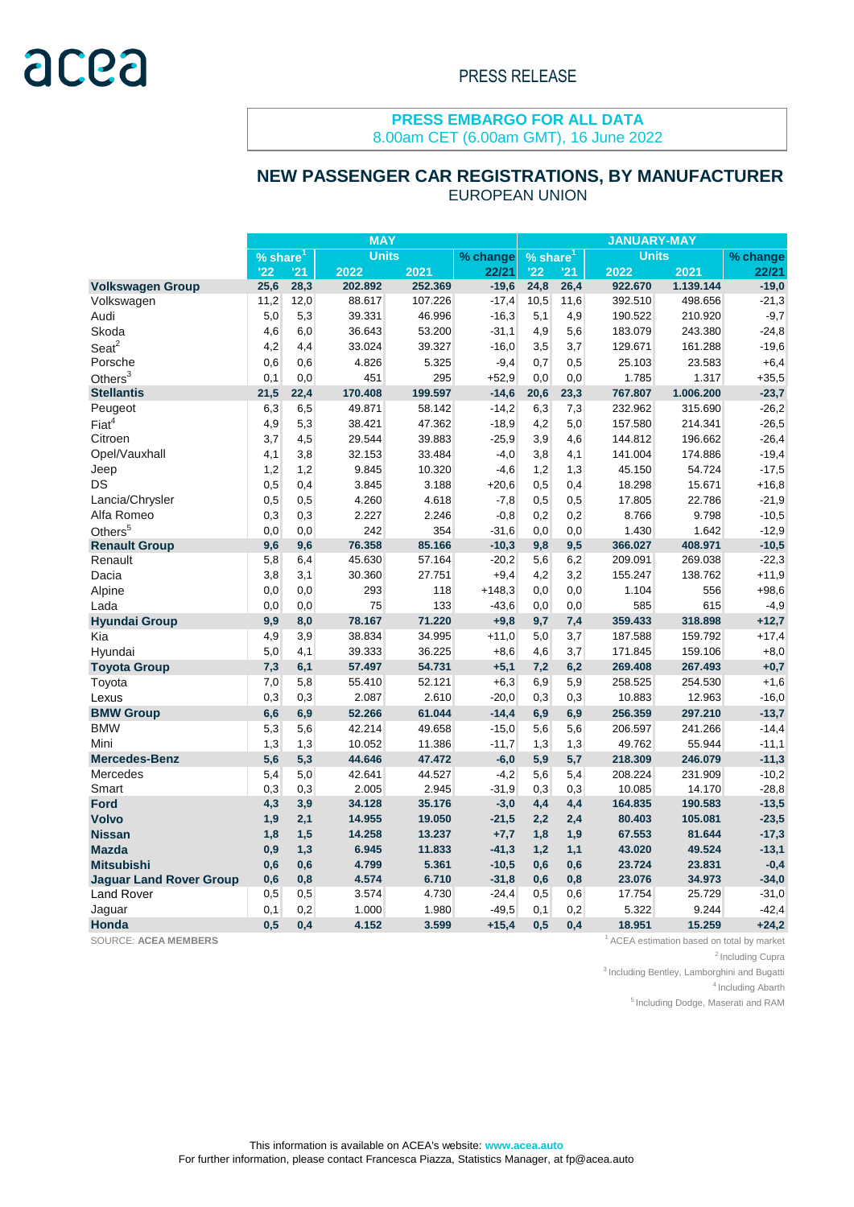#### **PRESS EMBARGO FOR ALL DATA** 8.00am CET (6.00am GMT), 16 June 2022

## EUROPEAN UNION  **NEW PASSENGER CAR REGISTRATIONS, BY MANUFACTURER**

|                                | <b>MAY</b>              |      |         |          |                        | <b>JANUARY-MAY</b> |              |         |           |         |  |
|--------------------------------|-------------------------|------|---------|----------|------------------------|--------------------|--------------|---------|-----------|---------|--|
|                                | <b>Units</b><br>% share |      |         | % change | $%$ share <sup>1</sup> |                    | <b>Units</b> |         | % change  |         |  |
|                                | '22                     | '21  | 2022    | 2021     | 22/21                  | '22                | '21          | 2022    | 2021      | 22/21   |  |
| <b>Volkswagen Group</b>        | 25,6                    | 28,3 | 202.892 | 252.369  | $-19,6$                | 24,8               | 26,4         | 922.670 | 1.139.144 | $-19,0$ |  |
| Volkswagen                     | 11,2                    | 12,0 | 88.617  | 107.226  | $-17,4$                | 10,5               | 11,6         | 392.510 | 498.656   | $-21,3$ |  |
| Audi                           | 5,0                     | 5,3  | 39.331  | 46.996   | $-16,3$                | 5,1                | 4,9          | 190.522 | 210.920   | $-9,7$  |  |
| Skoda                          | 4,6                     | 6,0  | 36.643  | 53.200   | $-31,1$                | 4,9                | 5,6          | 183.079 | 243.380   | $-24,8$ |  |
| $S$ eat $2$                    | 4,2                     | 4,4  | 33.024  | 39.327   | $-16,0$                | 3,5                | 3,7          | 129.671 | 161.288   | $-19,6$ |  |
| Porsche                        | 0,6                     | 0,6  | 4.826   | 5.325    | $-9,4$                 | 0,7                | 0,5          | 25.103  | 23.583    | $+6,4$  |  |
| Others $3$                     | 0,1                     | 0,0  | 451     | 295      | $+52.9$                | 0,0                | 0,0          | 1.785   | 1.317     | $+35,5$ |  |
| <b>Stellantis</b>              | 21,5                    | 22,4 | 170.408 | 199.597  | $-14,6$                | 20,6               | 23,3         | 767.807 | 1.006.200 | $-23,7$ |  |
| Peugeot                        | 6,3                     | 6,5  | 49.871  | 58.142   | $-14,2$                | 6,3                | 7,3          | 232.962 | 315.690   | $-26,2$ |  |
| Fiat <sup>4</sup>              | 4,9                     | 5,3  | 38.421  | 47.362   | $-18,9$                | 4,2                | 5,0          | 157.580 | 214.341   | $-26,5$ |  |
| Citroen                        | 3,7                     | 4,5  | 29.544  | 39.883   | $-25,9$                | 3,9                | 4,6          | 144.812 | 196.662   | $-26,4$ |  |
| Opel/Vauxhall                  | 4,1                     | 3,8  | 32.153  | 33.484   | $-4,0$                 | 3,8                | 4,1          | 141.004 | 174.886   | $-19,4$ |  |
| Jeep                           | 1,2                     | 1,2  | 9.845   | 10.320   | $-4,6$                 | 1,2                | 1,3          | 45.150  | 54.724    | $-17,5$ |  |
| DS                             | 0,5                     | 0,4  | 3.845   | 3.188    | $+20,6$                | 0,5                | 0,4          | 18.298  | 15.671    | $+16,8$ |  |
| Lancia/Chrysler                | 0,5                     | 0,5  | 4.260   | 4.618    | $-7,8$                 | 0,5                | 0,5          | 17.805  | 22.786    | $-21,9$ |  |
| Alfa Romeo                     | 0,3                     | 0,3  | 2.227   | 2.246    | $-0.8$                 | 0,2                | 0,2          | 8.766   | 9.798     | $-10,5$ |  |
| Others <sup>5</sup>            | 0,0                     | 0,0  | 242     | 354      | $-31,6$                |                    | 0,0          | 1.430   | 1.642     | $-12,9$ |  |
| <b>Renault Group</b>           | 9,6                     | 9,6  | 76.358  | 85.166   | $-10,3$                | 0,0<br>9,8         | 9,5          | 366.027 | 408.971   | $-10,5$ |  |
| Renault                        | 5,8                     | 6,4  | 45.630  | 57.164   | $-20,2$                | 5,6                | 6,2          | 209.091 | 269.038   | $-22,3$ |  |
| Dacia                          | 3,8                     | 3,1  | 30.360  | 27.751   | $+9,4$                 | 4,2                | 3,2          | 155.247 | 138.762   | $+11,9$ |  |
| Alpine                         | 0,0                     | 0,0  | 293     | 118      | $+148.3$               | 0,0                | 0,0          | 1.104   | 556       | $+98,6$ |  |
| Lada                           |                         |      | 75      |          |                        |                    |              |         | 615       | $-4,9$  |  |
|                                | 0,0                     | 0,0  |         | 133      | $-43,6$                | 0,0                | 0,0          | 585     |           |         |  |
| <b>Hyundai Group</b>           | 9,9                     | 8,0  | 78.167  | 71.220   | $+9,8$                 | 9,7                | 7,4          | 359.433 | 318.898   | $+12,7$ |  |
| Kia                            | 4,9                     | 3,9  | 38.834  | 34.995   | $+11,0$                | 5,0                | 3,7          | 187.588 | 159.792   | $+17,4$ |  |
| Hyundai                        | 5,0                     | 4,1  | 39.333  | 36.225   | $+8,6$                 | 4,6                | 3,7          | 171.845 | 159.106   | $+8,0$  |  |
| <b>Toyota Group</b>            | 7,3                     | 6,1  | 57.497  | 54.731   | $+5,1$                 | 7,2                | 6,2          | 269.408 | 267.493   | $+0,7$  |  |
| Toyota                         | 7,0                     | 5,8  | 55.410  | 52.121   | $+6,3$                 | 6,9                | 5,9          | 258.525 | 254.530   | $+1,6$  |  |
| Lexus                          | 0,3                     | 0.3  | 2.087   | 2.610    | $-20,0$                | 0,3                | 0,3          | 10.883  | 12.963    | $-16,0$ |  |
| <b>BMW Group</b>               | 6,6                     | 6,9  | 52.266  | 61.044   | $-14,4$                | 6,9                | 6,9          | 256.359 | 297.210   | $-13,7$ |  |
| <b>BMW</b>                     | 5,3                     | 5,6  | 42.214  | 49.658   | $-15,0$                | 5,6                | 5,6          | 206.597 | 241.266   | $-14,4$ |  |
| Mini                           | 1,3                     | 1,3  | 10.052  | 11.386   | $-11,7$                | 1,3                | 1,3          | 49.762  | 55.944    | $-11,1$ |  |
| <b>Mercedes-Benz</b>           | 5,6                     | 5,3  | 44.646  | 47.472   | $-6,0$                 | 5,9                | 5,7          | 218.309 | 246.079   | $-11,3$ |  |
| Mercedes                       | 5,4                     | 5,0  | 42.641  | 44.527   | $-4,2$                 | 5,6                | 5,4          | 208.224 | 231.909   | $-10,2$ |  |
| Smart                          | 0,3                     | 0,3  | 2.005   | 2.945    | $-31.9$                | 0,3                | 0,3          | 10.085  | 14.170    | $-28,8$ |  |
| <b>Ford</b>                    | 4,3                     | 3,9  | 34.128  | 35.176   | $-3,0$                 | 4,4                | 4,4          | 164.835 | 190.583   | $-13,5$ |  |
| <b>Volvo</b>                   | 1,9                     | 2,1  | 14.955  | 19.050   | $-21,5$                | 2,2                | 2,4          | 80.403  | 105.081   | $-23,5$ |  |
| <b>Nissan</b>                  | 1,8                     | 1,5  | 14.258  | 13.237   | $+7,7$                 | 1,8                | 1,9          | 67.553  | 81.644    | $-17,3$ |  |
| <b>Mazda</b>                   | 0,9                     | 1,3  | 6.945   | 11.833   | $-41,3$                | 1,2                | 1,1          | 43.020  | 49.524    | $-13,1$ |  |
| <b>Mitsubishi</b>              | 0,6                     | 0,6  | 4.799   | 5.361    | $-10,5$                | 0,6                | 0,6          | 23.724  | 23.831    | $-0,4$  |  |
| <b>Jaquar Land Rover Group</b> | 0,6                     | 0,8  | 4.574   | 6.710    | $-31,8$                | 0,6                | 0,8          | 23.076  | 34.973    | $-34,0$ |  |
| <b>Land Rover</b>              | 0,5                     | 0,5  | 3.574   | 4.730    | $-24,4$                | 0,5                | 0,6          | 17.754  | 25.729    | $-31,0$ |  |
| Jaguar                         | 0,1                     | 0,2  | 1.000   | 1.980    | $-49.5$                | 0,1                | 0,2          | 5.322   | 9.244     | $-42,4$ |  |
| Honda                          | 0.5                     | 0.4  | 4.152   | 3.599    | $+15,4$                | 0.5                | 0.4          | 18.951  | 15.259    | $+24,2$ |  |

SOURCE: ACEA MEMBERS **1**ACEA **MEMBERS** 1ACEA estimation based on total by market

<sup>2</sup> Including Cupra

 $3$  Including Bentley, Lamborghini and Bugatti

 $4$ Including Abarth

<sup>5</sup> Including Dodge, Maserati and RAM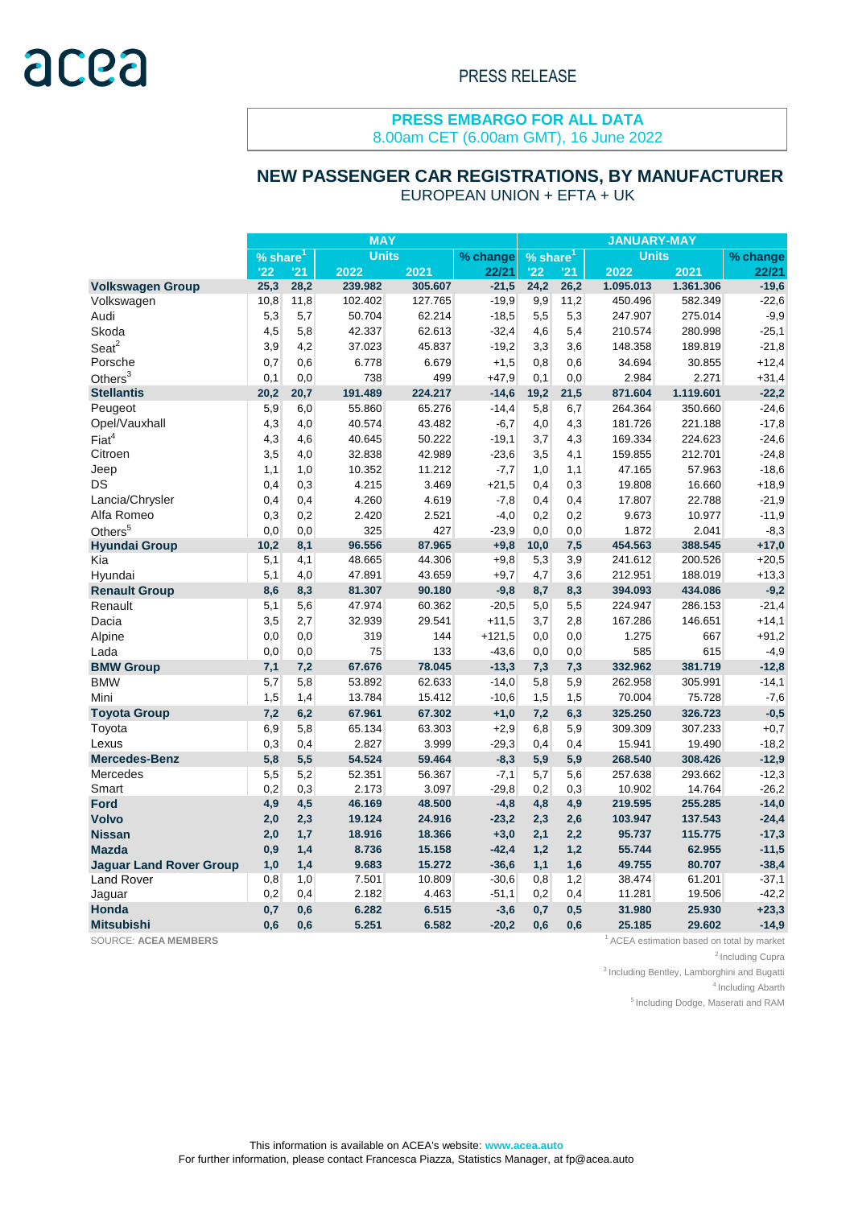#### **PRESS EMBARGO FOR ALL DATA** 8.00am CET (6.00am GMT), 16 June 2022

## EUROPEAN UNION + EFTA + UK  **NEW PASSENGER CAR REGISTRATIONS, BY MANUFACTURER**

|                                | <b>MAY</b> |      |              |         | <b>JANUARY-MAY</b> |                                               |      |           |           |         |
|--------------------------------|------------|------|--------------|---------|--------------------|-----------------------------------------------|------|-----------|-----------|---------|
|                                | % share    |      | <b>Units</b> |         | % change           | <b>Units</b><br>$\sqrt{9}$ share <sup>1</sup> |      |           | % change  |         |
|                                | '22        | '21  | 2022         | 2021    | 22/21              | '22                                           | '21  | 2022      | 2021      | 22/21   |
| <b>Volkswagen Group</b>        | 25,3       | 28,2 | 239.982      | 305.607 | $-21,5$            | 24,2                                          | 26,2 | 1.095.013 | 1.361.306 | $-19,6$ |
| Volkswagen                     | 10,8       | 11,8 | 102.402      | 127.765 | $-19.9$            | 9,9                                           | 11,2 | 450.496   | 582.349   | $-22,6$ |
| Audi                           | 5,3        | 5,7  | 50.704       | 62.214  | $-18,5$            | 5,5                                           | 5,3  | 247.907   | 275.014   | $-9,9$  |
| Skoda                          | 4,5        | 5,8  | 42.337       | 62.613  | $-32,4$            | 4,6                                           | 5,4  | 210.574   | 280.998   | $-25,1$ |
| $S$ eat $2$                    | 3,9        | 4,2  | 37.023       | 45.837  | $-19.2$            | 3,3                                           | 3,6  | 148.358   | 189.819   | $-21,8$ |
| Porsche                        | 0,7        | 0,6  | 6.778        | 6.679   | $+1,5$             | 0,8                                           | 0,6  | 34.694    | 30.855    | $+12,4$ |
| Others $3$                     | 0,1        | 0,0  | 738          | 499     | $+47.9$            | 0,1                                           | 0,0  | 2.984     | 2.271     | $+31,4$ |
| <b>Stellantis</b>              | 20,2       | 20,7 | 191.489      | 224.217 | $-14,6$            | 19,2                                          | 21,5 | 871.604   | 1.119.601 | $-22,2$ |
| Peugeot                        | 5,9        | 6,0  | 55.860       | 65.276  | $-14,4$            | 5,8                                           | 6,7  | 264.364   | 350.660   | $-24,6$ |
| Opel/Vauxhall                  | 4,3        | 4,0  | 40.574       | 43.482  | $-6,7$             | 4,0                                           | 4,3  | 181.726   | 221.188   | $-17,8$ |
| Fiat <sup>4</sup>              | 4,3        | 4,6  | 40.645       | 50.222  | $-19,1$            | 3,7                                           | 4,3  | 169.334   | 224.623   | $-24,6$ |
| Citroen                        | 3,5        | 4,0  | 32.838       | 42.989  | $-23,6$            | 3,5                                           | 4,1  | 159.855   | 212.701   | $-24,8$ |
| Jeep                           | 1,1        | 1,0  | 10.352       | 11.212  | $-7,7$             | 1,0                                           | 1,1  | 47.165    | 57.963    | $-18,6$ |
| DS                             | 0,4        | 0,3  | 4.215        | 3.469   | $+21,5$            | 0,4                                           | 0,3  | 19.808    | 16.660    | $+18,9$ |
| Lancia/Chrysler                | 0,4        | 0,4  | 4.260        | 4.619   | $-7,8$             | 0,4                                           | 0,4  | 17.807    | 22.788    | $-21,9$ |
| Alfa Romeo                     | 0,3        | 0,2  | 2.420        | 2.521   | $-4,0$             | 0,2                                           | 0,2  | 9.673     | 10.977    | $-11,9$ |
| Others <sup>5</sup>            | 0,0        | 0,0  | 325          | 427     | $-23.9$            | 0,0                                           | 0,0  | 1.872     | 2.041     | $-8,3$  |
| <b>Hyundai Group</b>           | 10,2       | 8,1  | 96.556       | 87.965  | $+9,8$             | 10,0                                          | 7,5  | 454.563   | 388.545   | $+17,0$ |
| Kia                            | 5,1        | 4,1  | 48.665       | 44.306  | $+9,8$             | 5,3                                           | 3,9  | 241.612   | 200.526   | $+20,5$ |
| Hyundai                        | 5,1        | 4,0  | 47.891       | 43.659  | $+9,7$             | 4,7                                           | 3,6  | 212.951   | 188.019   | $+13,3$ |
| <b>Renault Group</b>           | 8,6        | 8,3  | 81.307       | 90.180  | $-9,8$             | 8,7                                           | 8,3  | 394.093   | 434.086   | $-9,2$  |
| Renault                        | 5,1        | 5,6  | 47.974       | 60.362  | $-20,5$            | 5,0                                           | 5,5  | 224.947   | 286.153   | $-21,4$ |
| Dacia                          | 3,5        | 2,7  | 32.939       | 29.541  | $+11,5$            | 3,7                                           | 2,8  | 167.286   | 146.651   | $+14,1$ |
| Alpine                         | 0,0        | 0,0  | 319          | 144     | $+121.5$           | 0,0                                           | 0,0  | 1.275     | 667       | $+91,2$ |
| Lada                           | 0,0        | 0,0  | 75           | 133     | $-43,6$            | 0,0                                           | 0,0  | 585       | 615       | $-4,9$  |
| <b>BMW Group</b>               | 7,1        | 7,2  | 67.676       | 78.045  | $-13,3$            | 7,3                                           | 7,3  | 332.962   | 381.719   | $-12,8$ |
| <b>BMW</b>                     | 5,7        | 5,8  | 53.892       | 62.633  | $-14,0$            | 5,8                                           | 5,9  | 262.958   | 305.991   | $-14,1$ |
| Mini                           | 1,5        | 1,4  | 13.784       | 15.412  | $-10,6$            | 1,5                                           | 1,5  | 70.004    | 75.728    | $-7,6$  |
| <b>Toyota Group</b>            | 7,2        | 6,2  | 67.961       | 67.302  | $+1,0$             | 7,2                                           | 6,3  | 325.250   | 326.723   | $-0,5$  |
| Toyota                         | 6,9        | 5,8  | 65.134       | 63.303  | $+2,9$             | 6,8                                           | 5,9  | 309.309   | 307.233   | $+0,7$  |
| Lexus                          | 0,3        | 0,4  | 2.827        | 3.999   | $-29,3$            | 0,4                                           | 0,4  | 15.941    | 19.490    | $-18,2$ |
| <b>Mercedes-Benz</b>           | 5,8        | 5,5  | 54.524       | 59.464  | $-8,3$             | 5,9                                           | 5,9  | 268.540   | 308.426   | $-12,9$ |
| <b>Mercedes</b>                | 5,5        | 5,2  | 52.351       | 56.367  | $-7,1$             | 5,7                                           | 5,6  | 257.638   | 293.662   | $-12,3$ |
| Smart                          | 0,2        | 0,3  | 2.173        | 3.097   | $-29.8$            | 0,2                                           | 0,3  | 10.902    | 14.764    | $-26,2$ |
| <b>Ford</b>                    | 4,9        | 4,5  | 46.169       | 48.500  | $-4,8$             | 4,8                                           | 4,9  | 219.595   | 255.285   | $-14,0$ |
| <b>Volvo</b>                   | 2,0        | 2,3  | 19.124       | 24.916  | $-23,2$            | 2,3                                           | 2,6  | 103.947   | 137.543   | $-24,4$ |
| <b>Nissan</b>                  | 2,0        | 1,7  | 18.916       | 18.366  | $+3,0$             | 2,1                                           | 2,2  | 95.737    | 115.775   | $-17,3$ |
| <b>Mazda</b>                   | 0,9        | 1,4  | 8.736        | 15.158  | $-42,4$            | 1,2                                           | 1,2  | 55.744    | 62.955    | $-11,5$ |
| <b>Jaguar Land Rover Group</b> | 1,0        | 1,4  | 9.683        | 15.272  | $-36,6$            | 1,1                                           | 1,6  | 49.755    | 80.707    | $-38,4$ |
| <b>Land Rover</b>              | 0,8        | 1,0  | 7.501        | 10.809  | $-30,6$            | 0,8                                           | 1,2  | 38.474    | 61.201    | $-37,1$ |
| Jaguar                         | 0,2        | 0,4  | 2.182        | 4.463   | $-51,1$            | 0,2                                           | 0,4  | 11.281    | 19.506    | $-42,2$ |
| <b>Honda</b>                   | 0,7        | 0,6  | 6.282        | 6.515   | $-3,6$             | 0,7                                           | 0,5  | 31.980    | 25.930    | $+23,3$ |
| <b>Mitsubishi</b>              | 0.6        | 0.6  | 5.251        | 6.582   | $-20,2$            | 0,6                                           | 0,6  | 25.185    | 29.602    | $-14,9$ |

SOURCE: ACEA MEMBERS **1** ACEA estimation based on total by market

<sup>2</sup> Including Cupra

 $3$  Including Bentley, Lamborghini and Bugatti

 $4$ Including Abarth

 $<sup>5</sup>$  Including Dodge, Maserati and RAM</sup>